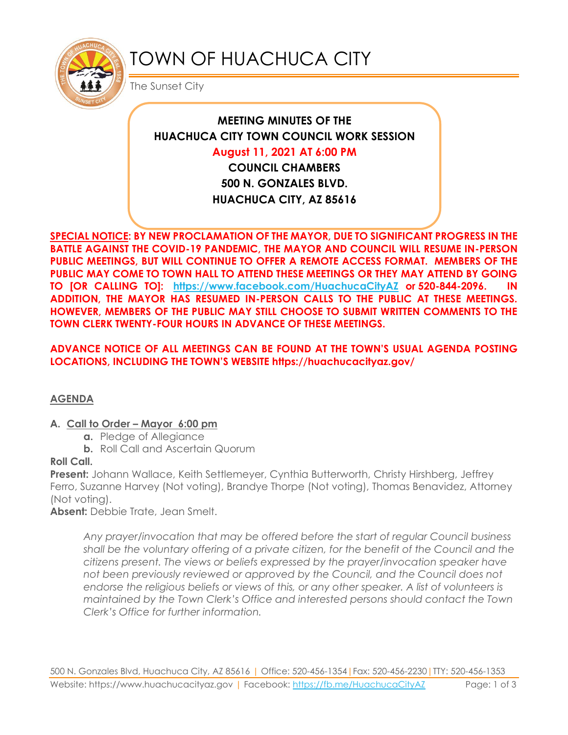

# TOWN OF HUACHUCA CITY

The Sunset City

# **MEETING MINUTES OF THE HUACHUCA CITY TOWN COUNCIL WORK SESSION**

#### **August 11, 2021 AT 6:00 PM**

**COUNCIL CHAMBERS 500 N. GONZALES BLVD. HUACHUCA CITY, AZ 85616**

**SPECIAL NOTICE: BY NEW PROCLAMATION OF THE MAYOR, DUE TO SIGNIFICANT PROGRESS IN THE BATTLE AGAINST THE COVID-19 PANDEMIC, THE MAYOR AND COUNCIL WILL RESUME IN-PERSON PUBLIC MEETINGS, BUT WILL CONTINUE TO OFFER A REMOTE ACCESS FORMAT. MEMBERS OF THE PUBLIC MAY COME TO TOWN HALL TO ATTEND THESE MEETINGS OR THEY MAY ATTEND BY GOING TO [OR CALLING TO]: <https://www.facebook.com/HuachucaCityAZ> or 520-844-2096. IN ADDITION, THE MAYOR HAS RESUMED IN-PERSON CALLS TO THE PUBLIC AT THESE MEETINGS. HOWEVER, MEMBERS OF THE PUBLIC MAY STILL CHOOSE TO SUBMIT WRITTEN COMMENTS TO THE TOWN CLERK TWENTY-FOUR HOURS IN ADVANCE OF THESE MEETINGS.** 

#### **ADVANCE NOTICE OF ALL MEETINGS CAN BE FOUND AT THE TOWN'S USUAL AGENDA POSTING LOCATIONS, INCLUDING THE TOWN'S WEBSITE https://huachucacityaz.gov/**

# **AGENDA**

#### **A. Call to Order – Mayor 6:00 pm**

- **a.** Pledge of Allegiance
- **b.** Roll Call and Ascertain Quorum

# **Roll Call.**

**Present:** Johann Wallace, Keith Settlemeyer, Cynthia Butterworth, Christy Hirshberg, Jeffrey Ferro, Suzanne Harvey (Not voting), Brandye Thorpe (Not voting), Thomas Benavidez, Attorney (Not voting).

**Absent:** Debbie Trate, Jean Smelt.

*Any prayer/invocation that may be offered before the start of regular Council business shall be the voluntary offering of a private citizen, for the benefit of the Council and the citizens present. The views or beliefs expressed by the prayer/invocation speaker have not been previously reviewed or approved by the Council, and the Council does not endorse the religious beliefs or views of this, or any other speaker. A list of volunteers is maintained by the Town Clerk's Office and interested persons should contact the Town Clerk's Office for further information.*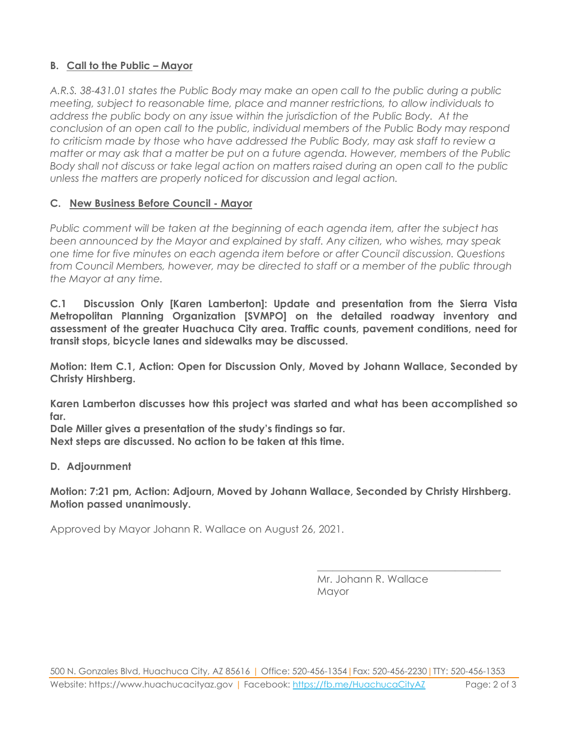# **B. Call to the Public – Mayor**

*A.R.S. 38-431.01 states the Public Body may make an open call to the public during a public meeting, subject to reasonable time, place and manner restrictions, to allow individuals to address the public body on any issue within the jurisdiction of the Public Body. At the conclusion of an open call to the public, individual members of the Public Body may respond to criticism made by those who have addressed the Public Body, may ask staff to review a matter or may ask that a matter be put on a future agenda. However, members of the Public Body shall not discuss or take legal action on matters raised during an open call to the public unless the matters are properly noticed for discussion and legal action.*

#### **C. New Business Before Council - Mayor**

*Public comment will be taken at the beginning of each agenda item, after the subject has been announced by the Mayor and explained by staff. Any citizen, who wishes, may speak one time for five minutes on each agenda item before or after Council discussion. Questions from Council Members, however, may be directed to staff or a member of the public through the Mayor at any time.* 

**C.1 Discussion Only [Karen Lamberton]: Update and presentation from the Sierra Vista Metropolitan Planning Organization [SVMPO] on the detailed roadway inventory and assessment of the greater Huachuca City area. Traffic counts, pavement conditions, need for transit stops, bicycle lanes and sidewalks may be discussed.** 

**Motion: Item C.1, Action: Open for Discussion Only, Moved by Johann Wallace, Seconded by Christy Hirshberg.**

**Karen Lamberton discusses how this project was started and what has been accomplished so far.**

**Dale Miller gives a presentation of the study's findings so far. Next steps are discussed. No action to be taken at this time.**

#### **D. Adjournment**

**Motion: 7:21 pm, Action: Adjourn, Moved by Johann Wallace, Seconded by Christy Hirshberg. Motion passed unanimously.**

Approved by Mayor Johann R. Wallace on August 26, 2021.

Mr. Johann R. Wallace Mayor

\_\_\_\_\_\_\_\_\_\_\_\_\_\_\_\_\_\_\_\_\_\_\_\_\_\_\_\_\_\_\_\_\_\_\_\_